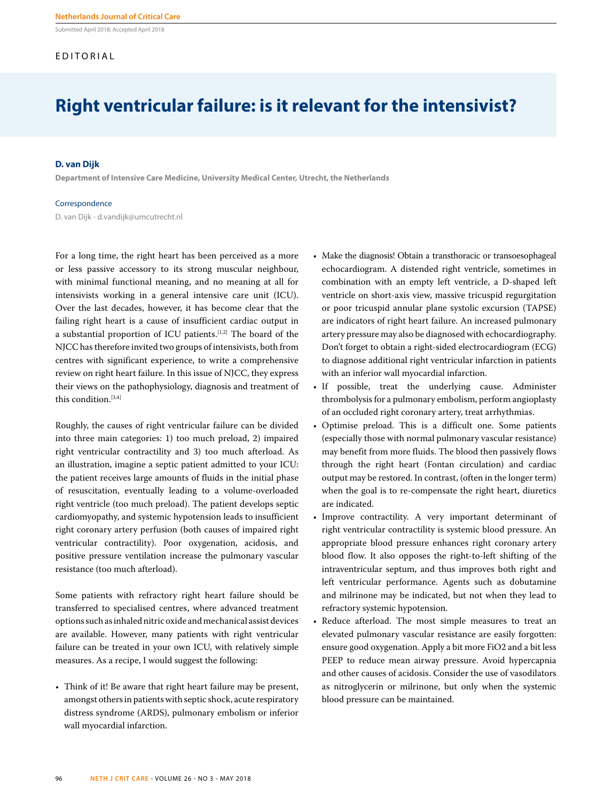Submitted April 2018; Accepted April 2018

#### EDITORIAL

### **Right ventricular failure: is it relevant for the intensivist?**

#### **D. van Dijk**

**Department of Intensive Care Medicine, University Medical Center, Utrecht, the Netherlands**

#### Correspondence

D. van Dijk - d.vandijk@umcutrecht.nl

For a long time, the right heart has been perceived as a more or less passive accessory to its strong muscular neighbour, with minimal functional meaning, and no meaning at all for intensivists working in a general intensive care unit (ICU). Over the last decades, however, it has become clear that the failing right heart is a cause of insufficient cardiac output in a substantial proportion of ICU patients.[1,2] The board of the NJCC has therefore invited two groups of intensivists, both from centres with significant experience, to write a comprehensive review on right heart failure. In this issue of NJCC, they express their views on the pathophysiology, diagnosis and treatment of this condition.[3,4]

Roughly, the causes of right ventricular failure can be divided into three main categories: 1) too much preload, 2) impaired right ventricular contractility and 3) too much afterload. As an illustration, imagine a septic patient admitted to your ICU: the patient receives large amounts of fluids in the initial phase of resuscitation, eventually leading to a volume-overloaded right ventricle (too much preload). The patient develops septic cardiomyopathy, and systemic hypotension leads to insufficient right coronary artery perfusion (both causes of impaired right ventricular contractility). Poor oxygenation, acidosis, and positive pressure ventilation increase the pulmonary vascular resistance (too much afterload).

Some patients with refractory right heart failure should be transferred to specialised centres, where advanced treatment options such as inhaled nitric oxide and mechanical assist devices are available. However, many patients with right ventricular failure can be treated in your own ICU, with relatively simple measures. As a recipe, I would suggest the following:

• Think of it! Be aware that right heart failure may be present, amongst others in patients with septic shock, acute respiratory distress syndrome (ARDS), pulmonary embolism or inferior wall myocardial infarction.

- Make the diagnosis! Obtain a transthoracic or transoesophageal echocardiogram. A distended right ventricle, sometimes in combination with an empty left ventricle, a D-shaped left ventricle on short-axis view, massive tricuspid regurgitation or poor tricuspid annular plane systolic excursion (TAPSE) are indicators of right heart failure. An increased pulmonary artery pressure may also be diagnosed with echocardiography. Don't forget to obtain a right-sided electrocardiogram (ECG) to diagnose additional right ventricular infarction in patients with an inferior wall myocardial infarction.
- If possible, treat the underlying cause. Administer thrombolysis for a pulmonary embolism, perform angioplasty of an occluded right coronary artery, treat arrhythmias.
- Optimise preload. This is a difficult one. Some patients (especially those with normal pulmonary vascular resistance) may benefit from more fluids. The blood then passively flows through the right heart (Fontan circulation) and cardiac output may be restored. In contrast, (often in the longer term) when the goal is to re-compensate the right heart, diuretics are indicated.
- Improve contractility. A very important determinant of right ventricular contractility is systemic blood pressure. An appropriate blood pressure enhances right coronary artery blood flow. It also opposes the right-to-left shifting of the intraventricular septum, and thus improves both right and left ventricular performance. Agents such as dobutamine and milrinone may be indicated, but not when they lead to refractory systemic hypotension.
- Reduce afterload. The most simple measures to treat an elevated pulmonary vascular resistance are easily forgotten: ensure good oxygenation. Apply a bit more FiO2 and a bit less PEEP to reduce mean airway pressure. Avoid hypercapnia and other causes of acidosis. Consider the use of vasodilators as nitroglycerin or milrinone, but only when the systemic blood pressure can be maintained.